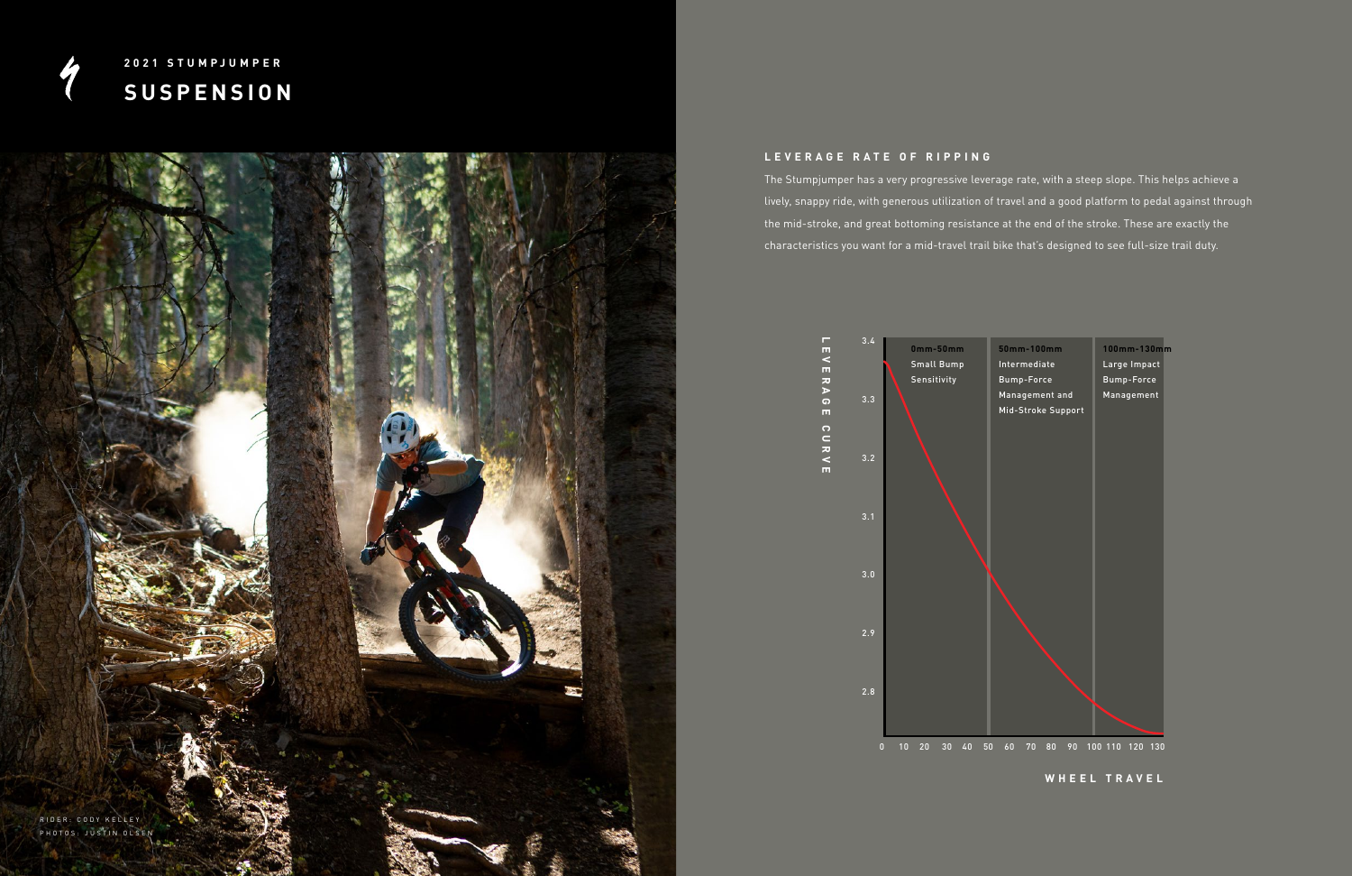

## **L E V E R A G E R A T E O F R I P P I N G**

The Stumpjumper has a very progressive leverage rate, with a steep slope. This helps achieve a lively, snappy ride, with generous utilization of travel and a good platform to pedal against through the mid-stroke, and great bottoming resistance at the end of the stroke. These are exactly the characteristics you want for a mid-travel trail bike that's designed to see full-size trail duty.



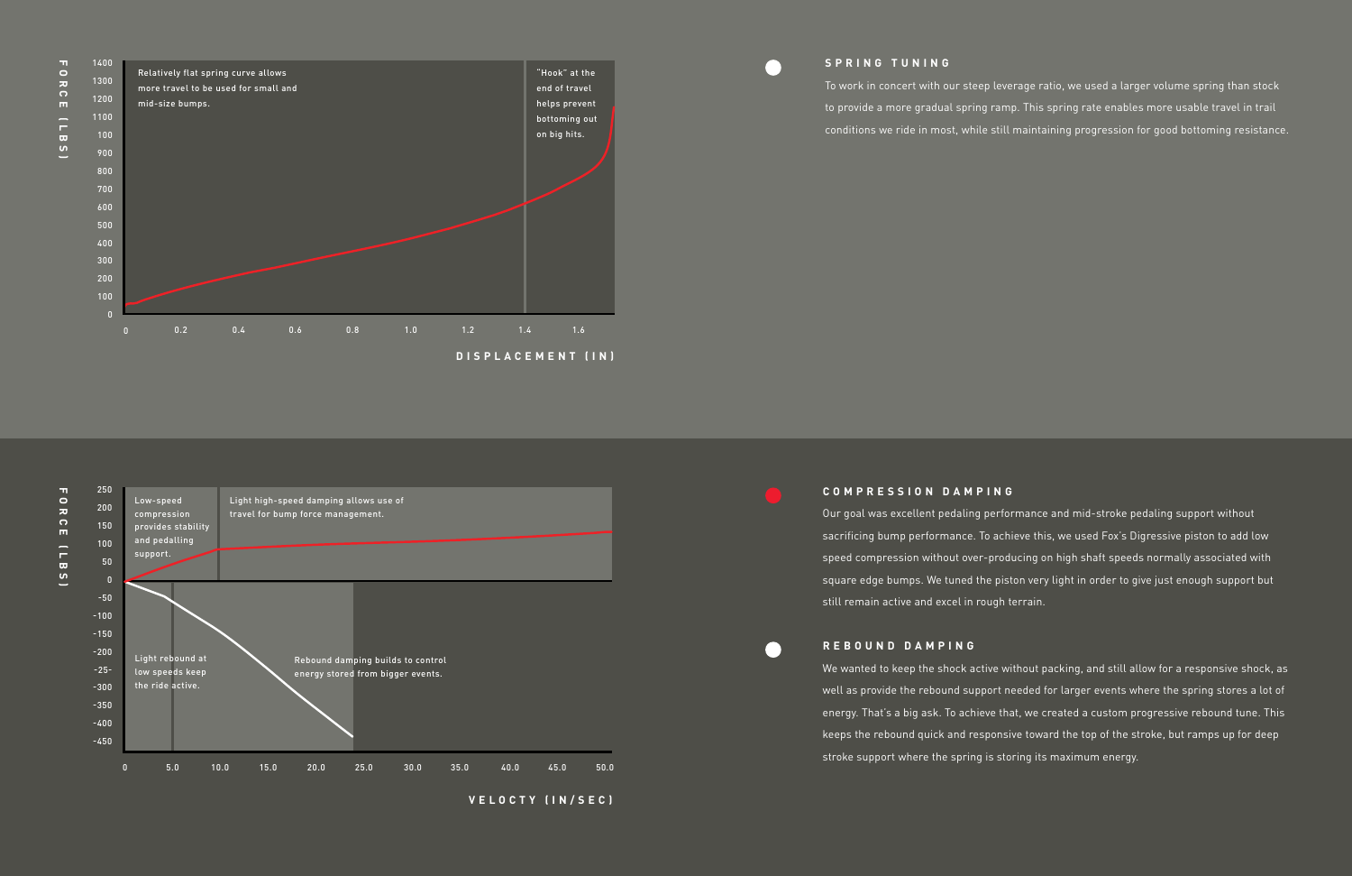# **COMPRESSION DAMPING**

Our goal was excellent pedaling performance and mid-stroke pedaling support without sacrificing bump performance. To achieve this, we used Fox's Digressive piston to add low speed compression without over-producing on high shaft speeds normally associated with square edge bumps. We tuned the piston very light in order to give just enough support but still remain active and excel in rough terrain.

## **REBOUND DAMPING**

We wanted to keep the shock active without packing, and still allow for a responsive shock, as well as provide the rebound support needed for larger events where the spring stores a lot of energy. That's a big ask. To achieve that, we created a custom progressive rebound tune. This keeps the rebound quick and responsive toward the top of the stroke, but ramps up for deep stroke support where the spring is storing its maximum energy.



 $\overline{a}$ 

 $\bullet$ 

### $\overline{\mathsf{C}}$ 250 **FORCE (LBS)** Low-speed Light high-speed damping allows use of 200  $\overline{\bm{z}}$ compression travel for bump force management.  $\frac{1}{2}$ 150 provides stability and pedalling 100  $\overline{a}$ support. 50  $\boldsymbol{\omega}$ 0 -50 -100 -150 -200 Light rebound at Rebound damping builds to control -25 low speeds keep energy stored from bigger events. the ride active. -300 -350 -400 -450

To work in concert with our steep leverage ratio, we used a larger volume spring than stock to provide a more gradual spring ramp. This spring rate enables more usable travel in trail conditions we ride in most, while still maintaining progression for good bottoming resistance.



**VELOCTY (IN/SEC)**